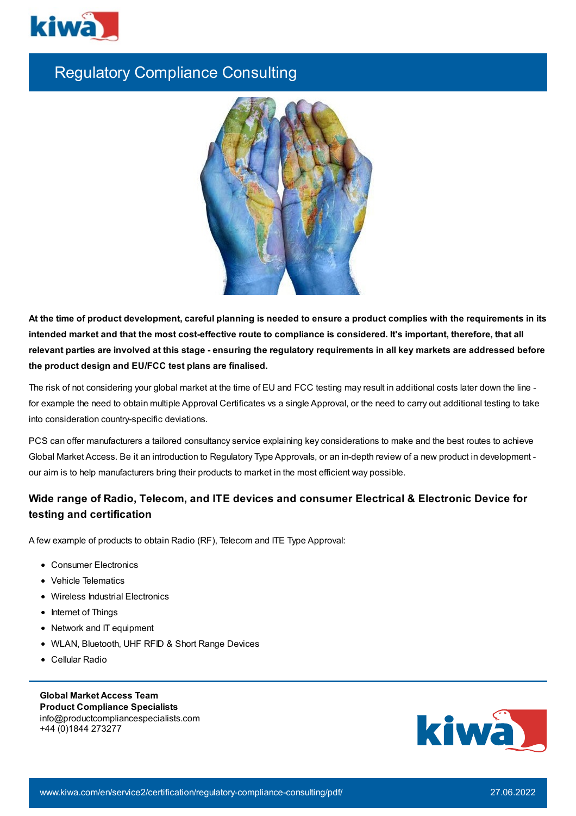

# Regulatory Compliance Consulting



At the time of product development, careful planning is needed to ensure a product complies with the requirements in its intended market and that the most cost-effective route to compliance is considered. It's important, therefore, that all relevant parties are involved at this stage - ensuring the regulatory requirements in all key markets are addressed before **the product design and EU/FCC test plans are finalised.**

The risk of not considering your global market at the time of EU and FCC testing may result in additional costs later down the line for example the need to obtain multiple Approval Certificates vs a single Approval, or the need to carry out additional testing to take into consideration country-specific deviations.

PCS can offer manufacturers a tailored consultancy service explaining key considerations to make and the best routes to achieve Global Market Access. Be it an introduction to Regulatory Type Approvals, or an in-depth review of a new product in development our aim is to help manufacturers bring their products to market in the most efficient way possible.

# **Wide range of Radio, Telecom, and ITE devices and consumer Electrical & Electronic Device for testing and certification**

A few example of products to obtain Radio (RF), Telecom and ITE Type Approval:

- Consumer Electronics
- Vehicle Telematics
- Wireless Industrial Electronics
- Internet of Things
- Network and IT equipment
- WLAN, Bluetooth, UHF RFID & Short Range Devices
- Cellular Radio

**Global Market Access Team Product Compliance Specialists** info@productcompliancespecialists.com +44 (0)1844 273277